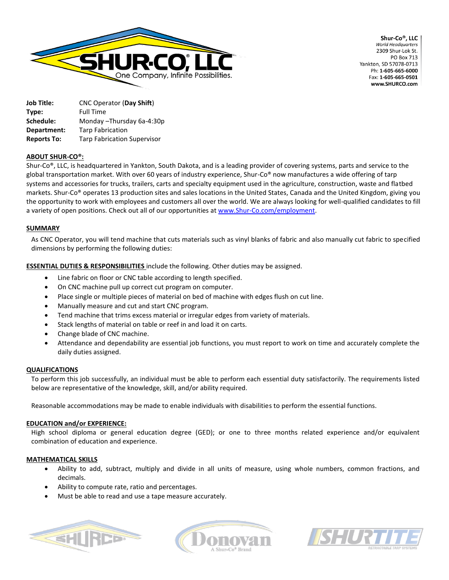

Shur-Co®, LLC World Headquarters 2309 Shur-Lok St. **PO Box 713** Yankton, SD 57078-0713 Ph: 1-605-665-6000 Fax: 1-605-665-0501 www.SHURCO.com

**Job Title:** CNC Operator (**Day Shift**) **Type:** Full Time **Schedule:** Monday –Thursday 6a-4:30p **Department:** Tarp Fabrication **Reports To:** Tarp Fabrication Supervisor

# **ABOUT SHUR-CO®:**

Shur-Co®, LLC, is headquartered in Yankton, South Dakota, and is a leading provider of covering systems, parts and service to the global transportation market. With over 60 years of industry experience, Shur-Co® now manufactures a wide offering of tarp systems and accessories for trucks, trailers, carts and specialty equipment used in the agriculture, construction, waste and flatbed markets. Shur-Co® operates 13 production sites and sales locations in the United States, Canada and the United Kingdom, giving you the opportunity to work with employees and customers all over the world. We are always looking for well-qualified candidates to fill a variety of open positions. Check out all of our opportunities a[t www.Shur-Co.com/employment.](http://www.shur-co.com/employment)

## **SUMMARY**

As CNC Operator, you will tend machine that cuts materials such as vinyl blanks of fabric and also manually cut fabric to specified dimensions by performing the following duties:

**ESSENTIAL DUTIES & RESPONSIBILITIES** include the following. Other duties may be assigned.

- Line fabric on floor or CNC table according to length specified.
- On CNC machine pull up correct cut program on computer.
- Place single or multiple pieces of material on bed of machine with edges flush on cut line.
- Manually measure and cut and start CNC program.
- Tend machine that trims excess material or irregular edges from variety of materials.
- Stack lengths of material on table or reef in and load it on carts.
- Change blade of CNC machine.
- Attendance and dependability are essential job functions, you must report to work on time and accurately complete the daily duties assigned.

#### **QUALIFICATIONS**

To perform this job successfully, an individual must be able to perform each essential duty satisfactorily. The requirements listed below are representative of the knowledge, skill, and/or ability required.

Reasonable accommodations may be made to enable individuals with disabilities to perform the essential functions.

#### **EDUCATION and/or EXPERIENCE:**

High school diploma or general education degree (GED); or one to three months related experience and/or equivalent combination of education and experience.

#### **MATHEMATICAL SKILLS**

- Ability to add, subtract, multiply and divide in all units of measure, using whole numbers, common fractions, and decimals.
- Ability to compute rate, ratio and percentages.
- Must be able to read and use a tape measure accurately.